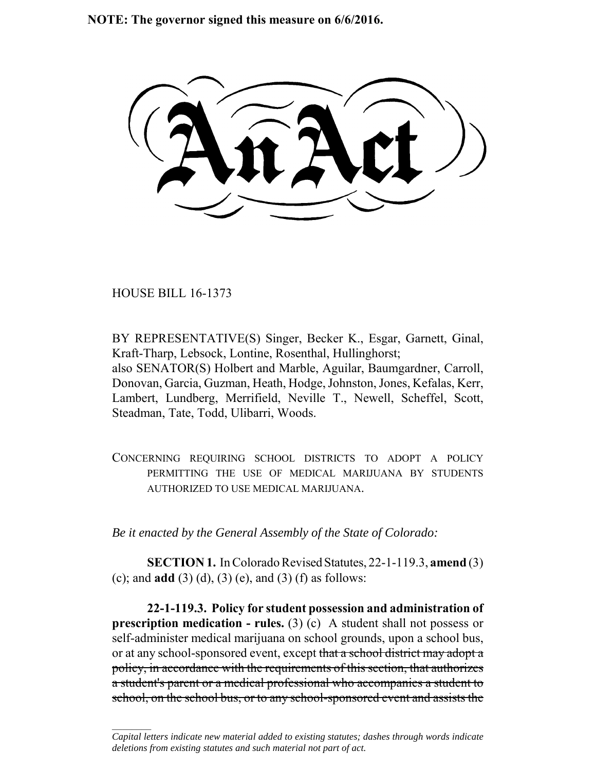**NOTE: The governor signed this measure on 6/6/2016.**

HOUSE BILL 16-1373

 $\frac{1}{2}$ 

BY REPRESENTATIVE(S) Singer, Becker K., Esgar, Garnett, Ginal, Kraft-Tharp, Lebsock, Lontine, Rosenthal, Hullinghorst; also SENATOR(S) Holbert and Marble, Aguilar, Baumgardner, Carroll, Donovan, Garcia, Guzman, Heath, Hodge, Johnston, Jones, Kefalas, Kerr, Lambert, Lundberg, Merrifield, Neville T., Newell, Scheffel, Scott, Steadman, Tate, Todd, Ulibarri, Woods.

CONCERNING REQUIRING SCHOOL DISTRICTS TO ADOPT A POLICY PERMITTING THE USE OF MEDICAL MARIJUANA BY STUDENTS AUTHORIZED TO USE MEDICAL MARIJUANA.

*Be it enacted by the General Assembly of the State of Colorado:*

**SECTION 1.** In Colorado Revised Statutes, 22-1-119.3, **amend** (3) (c); and **add** (3) (d), (3) (e), and (3) (f) as follows:

**22-1-119.3. Policy for student possession and administration of prescription medication - rules.** (3) (c) A student shall not possess or self-administer medical marijuana on school grounds, upon a school bus, or at any school-sponsored event, except that a school district may adopt a policy, in accordance with the requirements of this section, that authorizes a student's parent or a medical professional who accompanies a student to school, on the school bus, or to any school-sponsored event and assists the

*Capital letters indicate new material added to existing statutes; dashes through words indicate deletions from existing statutes and such material not part of act.*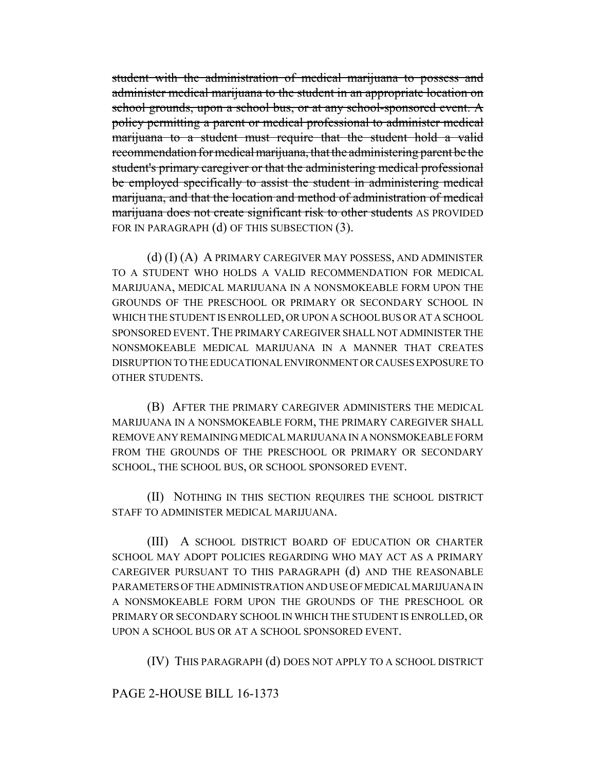student with the administration of medical marijuana to possess and administer medical marijuana to the student in an appropriate location on school grounds, upon a school bus, or at any school-sponsored event. A policy permitting a parent or medical professional to administer medical marijuana to a student must require that the student hold a valid recommendation for medical marijuana, that the administering parent be the student's primary caregiver or that the administering medical professional be employed specifically to assist the student in administering medical marijuana, and that the location and method of administration of medical marijuana does not create significant risk to other students AS PROVIDED FOR IN PARAGRAPH (d) OF THIS SUBSECTION (3).

(d) (I) (A) A PRIMARY CAREGIVER MAY POSSESS, AND ADMINISTER TO A STUDENT WHO HOLDS A VALID RECOMMENDATION FOR MEDICAL MARIJUANA, MEDICAL MARIJUANA IN A NONSMOKEABLE FORM UPON THE GROUNDS OF THE PRESCHOOL OR PRIMARY OR SECONDARY SCHOOL IN WHICH THE STUDENT IS ENROLLED, OR UPON A SCHOOL BUS OR AT A SCHOOL SPONSORED EVENT. THE PRIMARY CAREGIVER SHALL NOT ADMINISTER THE NONSMOKEABLE MEDICAL MARIJUANA IN A MANNER THAT CREATES DISRUPTION TO THE EDUCATIONAL ENVIRONMENT OR CAUSES EXPOSURE TO OTHER STUDENTS.

(B) AFTER THE PRIMARY CAREGIVER ADMINISTERS THE MEDICAL MARIJUANA IN A NONSMOKEABLE FORM, THE PRIMARY CAREGIVER SHALL REMOVE ANY REMAINING MEDICAL MARIJUANA IN A NONSMOKEABLE FORM FROM THE GROUNDS OF THE PRESCHOOL OR PRIMARY OR SECONDARY SCHOOL, THE SCHOOL BUS, OR SCHOOL SPONSORED EVENT.

(II) NOTHING IN THIS SECTION REQUIRES THE SCHOOL DISTRICT STAFF TO ADMINISTER MEDICAL MARIJUANA.

(III) A SCHOOL DISTRICT BOARD OF EDUCATION OR CHARTER SCHOOL MAY ADOPT POLICIES REGARDING WHO MAY ACT AS A PRIMARY CAREGIVER PURSUANT TO THIS PARAGRAPH (d) AND THE REASONABLE PARAMETERS OF THE ADMINISTRATION AND USE OF MEDICAL MARIJUANA IN A NONSMOKEABLE FORM UPON THE GROUNDS OF THE PRESCHOOL OR PRIMARY OR SECONDARY SCHOOL IN WHICH THE STUDENT IS ENROLLED, OR UPON A SCHOOL BUS OR AT A SCHOOL SPONSORED EVENT.

(IV) THIS PARAGRAPH (d) DOES NOT APPLY TO A SCHOOL DISTRICT

## PAGE 2-HOUSE BILL 16-1373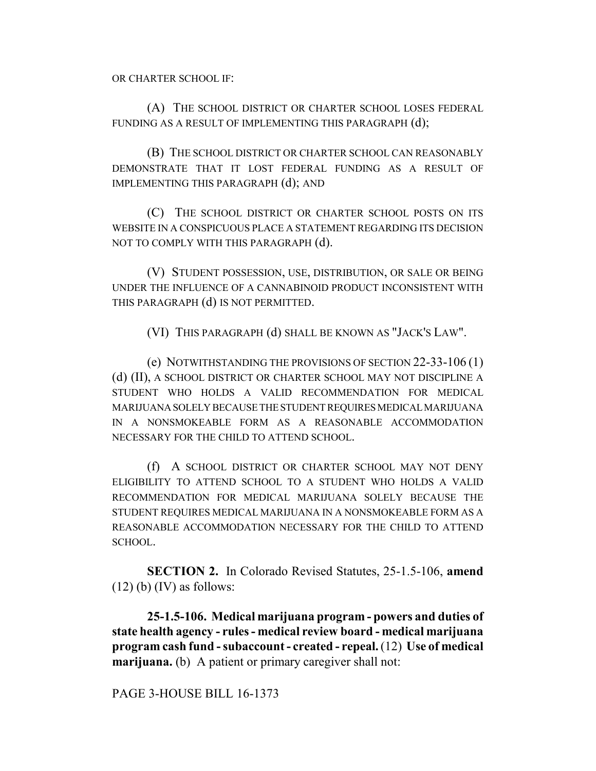(A) THE SCHOOL DISTRICT OR CHARTER SCHOOL LOSES FEDERAL FUNDING AS A RESULT OF IMPLEMENTING THIS PARAGRAPH  $(d)$ ;

(B) THE SCHOOL DISTRICT OR CHARTER SCHOOL CAN REASONABLY DEMONSTRATE THAT IT LOST FEDERAL FUNDING AS A RESULT OF IMPLEMENTING THIS PARAGRAPH (d); AND

(C) THE SCHOOL DISTRICT OR CHARTER SCHOOL POSTS ON ITS WEBSITE IN A CONSPICUOUS PLACE A STATEMENT REGARDING ITS DECISION NOT TO COMPLY WITH THIS PARAGRAPH (d).

(V) STUDENT POSSESSION, USE, DISTRIBUTION, OR SALE OR BEING UNDER THE INFLUENCE OF A CANNABINOID PRODUCT INCONSISTENT WITH THIS PARAGRAPH (d) IS NOT PERMITTED.

(VI) THIS PARAGRAPH (d) SHALL BE KNOWN AS "JACK'S LAW".

(e) NOTWITHSTANDING THE PROVISIONS OF SECTION 22-33-106 (1) (d) (II), A SCHOOL DISTRICT OR CHARTER SCHOOL MAY NOT DISCIPLINE A STUDENT WHO HOLDS A VALID RECOMMENDATION FOR MEDICAL MARIJUANA SOLELY BECAUSE THE STUDENT REQUIRES MEDICAL MARIJUANA IN A NONSMOKEABLE FORM AS A REASONABLE ACCOMMODATION NECESSARY FOR THE CHILD TO ATTEND SCHOOL.

(f) A SCHOOL DISTRICT OR CHARTER SCHOOL MAY NOT DENY ELIGIBILITY TO ATTEND SCHOOL TO A STUDENT WHO HOLDS A VALID RECOMMENDATION FOR MEDICAL MARIJUANA SOLELY BECAUSE THE STUDENT REQUIRES MEDICAL MARIJUANA IN A NONSMOKEABLE FORM AS A REASONABLE ACCOMMODATION NECESSARY FOR THE CHILD TO ATTEND SCHOOL.

**SECTION 2.** In Colorado Revised Statutes, 25-1.5-106, **amend**  $(12)$  (b) (IV) as follows:

**25-1.5-106. Medical marijuana program - powers and duties of state health agency - rules - medical review board - medical marijuana program cash fund - subaccount - created - repeal.** (12) **Use of medical marijuana.** (b) A patient or primary caregiver shall not:

PAGE 3-HOUSE BILL 16-1373